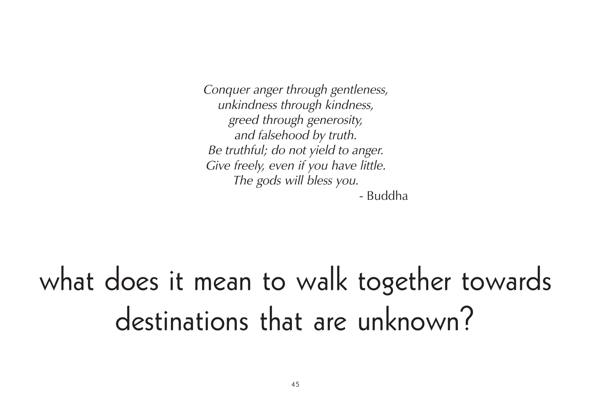Conquer anger through gentleness, unkindness through kindness, greed through generosity, and falsehood by truth. Be truthful; do not yield to anger. Give freely, even if you have little. The gods will bless you. - Buddha

what does it mean to walk together towards destinations that are unknown?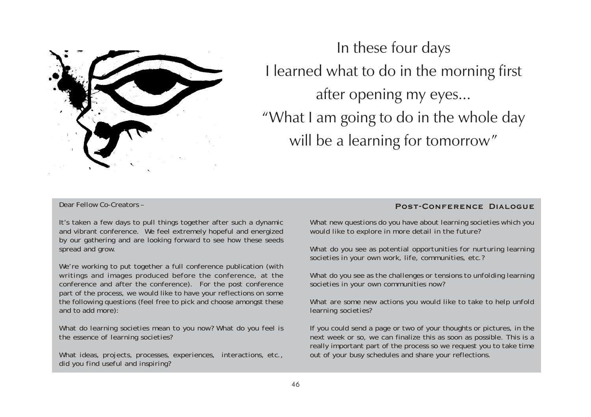

In these four days I learned what to do in the morning first after opening my eyes... "What I am going to do in the whole day will be a learning for tomorrow"

#### Dear Fellow Co-Creators –

It's taken a few days to pull things together after such a dynamic and vibrant conference. We feel extremely hopeful and energized by our gathering and are looking forward to see how these seeds spread and grow.

We're working to put together a full conference publication (with writings and images produced before the conference, at the conference and after the conference). For the post conference part of the process, we would like to have your reflections on some the following questions (feel free to pick and choose amongst these and to add more):

*What do learning societies mean to you now? What do you feel is the essence of learning societies?*

*What ideas, projects, processes, experiences, interactions, etc., did you find useful and inspiring?*

#### **Post-Conference Dialogue**

*What new questions do you have about learning societies which you would like to explore in more detail in the future?*

*What do you see as potential opportunities for nurturing learning societies in your own work, life, communities, etc.?*

*What do you see as the challenges or tensions to unfolding learning societies in your own communities now?*

*What are some new actions you would like to take to help unfold learning societies?*

If you could send a page or two of your thoughts or pictures, in the next week or so, we can finalize this as soon as possible. This is a really important part of the process so we request you to take time out of your busy schedules and share your reflections.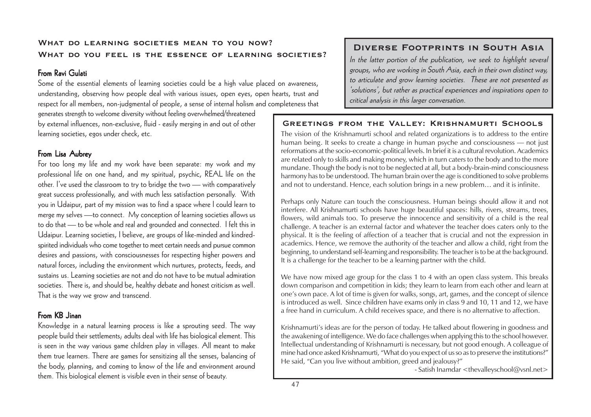#### **What do learning societies mean to you now? What do you feel is the essence of learning societies?**

### From Ravi Gulati

Some of the essential elements of learning societies could be a high value placed on awareness, understanding, observing how people deal with various issues, open eyes, open hearts, trust and respect for all members, non-judgmental of people, a sense of internal holism and completeness that

generates strength to welcome diversity without feeling overwhelmed/threatened by external influences, non-exclusive, fluid - easily merging in and out of other learning societies, egos under check, etc.

### From Lisa Aubrey

For too long my life and my work have been separate: my work and my professional life on one hand, and my spiritual, psychic, REAL life on the other. I've used the classroom to try to bridge the two — with comparatively great success professionally, and with much less satisfaction personally. With you in Udaipur, part of my mission was to find a space where I could learn to merge my selves —to connect. My conception of learning societies allows us to do that — to be whole and real and grounded and connected. I felt this in Udaipur. Learning societies, I believe, are groups of like-minded and kindredspirited individuals who come together to meet certain needs and pursue common desires and passions, with consciousnesses for respecting higher powers and natural forces, including the environment which nurtures, protects, feeds, and sustains us. Learning societies are not and do not have to be mutual admiration societies. There is, and should be, healthy debate and honest criticism as well. That is the way we grow and transcend.

### From KB Jinan

Knowledge in a natural learning process is like a sprouting seed. The way people build their settlements; adults deal with life has biological element. This is seen in the way various game children play in villages. All meant to make them true learners. There are games for sensitizing all the senses, balancing of the body, planning, and coming to know of the life and environment around them. This biological element is visible even in their sense of beauty.

### **Diverse Footprints in South Asia**

In the latter portion of the publication, we seek to highlight several groups, who are working in South Asia, each in their own distinct way, to articulate and grow learning societies. These are not presented as 'solutions', but rather as practical experiences and inspirations open to critical analysis in this larger conversation.

#### **Greetings from the Valley: Krishnamurti Schools**

The vision of the Krishnamurti school and related organizations is to address to the entire human being. It seeks to create a change in human psyche and consciousness — not just reformations at the socio-economic-political levels. In brief it is a cultural revolution. Academics are related only to skills and making money, which in turn caters to the body and to the more mundane. Though the body is not to be neglected at all, but a body-brain-mind consciousness harmony has to be understood. The human brain over the age is conditioned to solve problems and not to understand. Hence, each solution brings in a new problem… and it is infinite.

Perhaps only Nature can touch the consciousness. Human beings should allow it and not interfere. All Krishnamurti schools have huge beautiful spaces: hills, rivers, streams, trees, flowers, wild animals too. To preserve the innocence and sensitivity of a child is the real challenge. A teacher is an external factor and whatever the teacher does caters only to the physical. It is the feeling of affection of a teacher that is crucial and not the expression in academics. Hence, we remove the authority of the teacher and allow a child, right from the beginning, to understand self-learning and responsibility. The teacher is to be at the background. It is a challenge for the teacher to be a learning partner with the child.

We have now mixed age group for the class 1 to 4 with an open class system. This breaks down comparison and competition in kids; they learn to learn from each other and learn at one's own pace. A lot of time is given for walks, songs, art, games, and the concept of silence is introduced as well. Since children have exams only in class 9 and 10, 11 and 12, we have a free hand in curriculum. A child receives space, and there is no alternative to affection.

Krishnamurti's ideas are for the person of today. He talked about flowering in goodness and the awakening of intelligence. We do face challenges when applying this to the school however. Intellectual understanding of Krishnamurti is necessary, but not good enough. A colleague of mine had once asked Krishnamurti, "What do you expect of us so as to preserve the institutions?" He said, "Can you live without ambition, greed and jealousy?"

- Satish Inamdar <thevalleyschool@vsnl.net>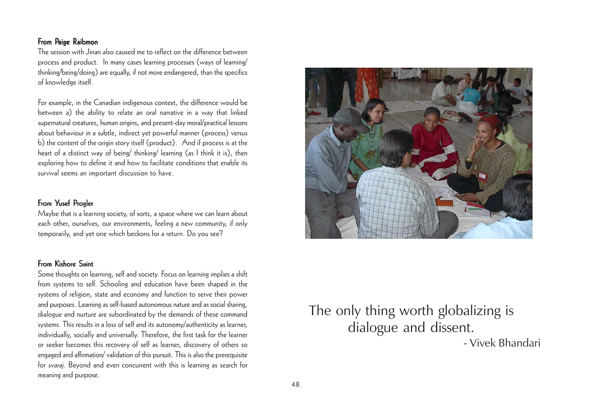### From Paige Raibmon

The session with Jinan also caused me to reflect on the difference between process and product. In many cases learning processes (ways of learning/ thinking/being/doing) are equally, if not more endangered, than the specifics of knowledge itself.

For example, in the Canadian indigenous context, the difference would be between a) the ability to relate an oral narrative in a way that linked supernatural creatures, human origins, and present-day moral/practical lessons about behaviour in a subtle, indirect yet powerful manner (process) versus b) the content of the origin story itself (product). And if process is at the heart of a distinct way of being/ thinking/ learning (as I think it is), then exploring how to define it and how to facilitate conditions that enable its survival seems an important discussion to have.

### From Yusef Progler

Maybe that is a learning society, of sorts, a space where we can learn about each other, ourselves, our environments, feeling a new community, if only temporarily, and yet one which beckons for a return. Do you see?

### From Kishore Saint

Some thoughts on learning, self and society. Focus on learning implies a shift from systems to self. Schooling and education have been shaped in the systems of religion, state and economy and function to serve their power and purposes. Learning as self-based autonomous nature and as social sharing, dialogue and nurture are subordinated by the demands of these command systems. This results in a loss of self and its autonomy/authenticity as learner, individually, socially and universally. Therefore, the first task for the learner or seeker becomes this recovery of self as learner, discovery of others so engaged and affirmation/ validation of this pursuit. This is also the prerequisite for svaraj. Beyond and even concurrent with this is learning as search for meaning and purpose.



# The only thing worth globalizing is dialogue and dissent. - Vivek Bhandari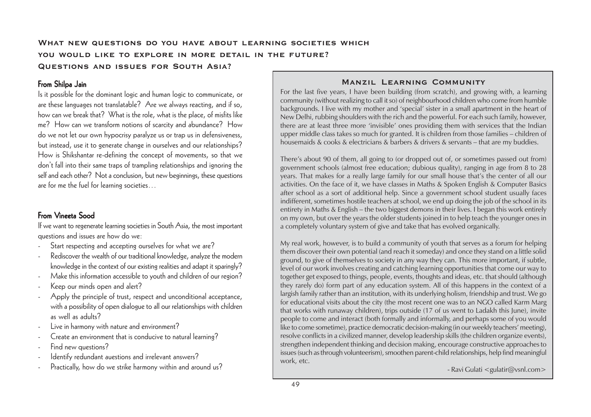### **What new questions do you have about learning societies which you would like to explore in more detail in the future? Questions and issues for South Asia?**

#### From Shilpa Jain

Is it possible for the dominant logic and human logic to communicate, or are these languages not translatable? Are we always reacting, and if so, how can we break that? What is the role, what is the place, of misfits like me? How can we transform notions of scarcity and abundance? How do we not let our own hypocrisy paralyze us or trap us in defensiveness, but instead, use it to generate change in ourselves and our relationships? How is Shikshantar re-defining the concept of movements, so that we don't fall into their same traps of trampling relationships and ignoring the self and each other? Not a conclusion, but new beginnings, these questions are for me the fuel for learning societies…

### From Vineeta Sood

If we want to regenerate learning societies in South Asia, the most important questions and issues are how do we:

- Start respecting and accepting ourselves for what we are?
- Rediscover the wealth of our traditional knowledge, analyze the modern knowledge in the context of our existing realities and adapt it sparingly?
- Make this information accessible to youth and children of our region? Keep our minds open and alert?
- Apply the principle of trust, respect and unconditional acceptance, with a possibility of open dialogue to all our relationships with children as well as adults?
- Live in harmony with nature and environment?
- Create an environment that is conducive to natural learning?
- Find new questions?
- Identify redundant auestions and irrelevant answers?
- Practically, how do we strike harmony within and around us?

#### **Manzil Learning Community**

For the last five years, I have been building (from scratch), and growing with, a learning community (without realizing to call it so) of neighbourhood children who come from humble backgrounds. I live with my mother and 'special' sister in a small apartment in the heart of New Delhi, rubbing shoulders with the rich and the powerful. For each such family, however, there are at least three more 'invisible' ones providing them with services that the Indian upper middle class takes so much for granted. It is children from those families – children of housemaids & cooks & electricians & barbers & drivers & servants – that are my buddies.

There's about 90 of them, all going to (or dropped out of, or sometimes passed out from) government schools (almost free education; dubious quality), ranging in age from 8 to 28 years. That makes for a really large family for our small house that's the center of all our activities. On the face of it, we have classes in Maths & Spoken English & Computer Basics after school as a sort of additional help. Since a government school student usually faces indifferent, sometimes hostile teachers at school, we end up doing the job of the school in its entirety in Maths & English – the two biggest demons in their lives. I began this work entirely on my own, but over the years the older students joined in to help teach the younger ones in a completely voluntary system of give and take that has evolved organically.

My real work, however, is to build a community of youth that serves as a forum for helping them discover their own potential (and reach it someday) and once they stand on a little solid ground, to give of themselves to society in any way they can. This more important, if subtle, level of our work involves creating and catching learning opportunities that come our way to together get exposed to things, people, events, thoughts and ideas, etc. that should (although they rarely do) form part of any education system. All of this happens in the context of a largish family rather than an institution, with its underlying holism, friendship and trust. We go for educational visits about the city (the most recent one was to an NGO called Karm Marg that works with runaway children), trips outside (17 of us went to Ladakh this June), invite people to come and interact (both formally and informally, and perhaps some of you would like to come sometime), practice democratic decision-making (in our weekly teachers' meeting), resolve conflicts in a civilized manner, develop leadership skills (the children organize events), strengthen independent thinking and decision making, encourage constructive approaches to issues (such as through volunteerism), smoothen parent-child relationships, help find meaningful work, etc.

- Ravi Gulati <gulatir@vsnl.com>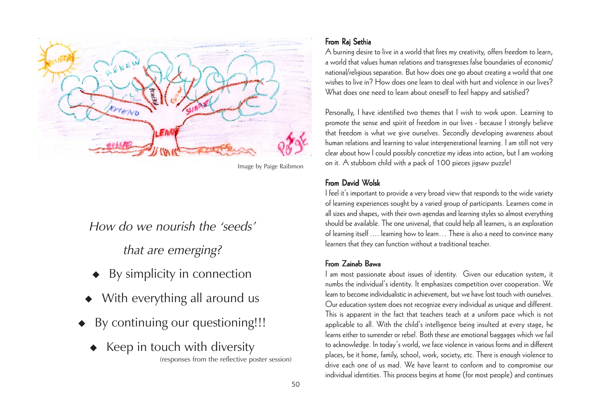

Image by Paige Raibmon

How do we nourish the 'seeds'

that are emerging?

- By simplicity in connection
- With everything all around us
- By continuing our questioning!!!
	- $\triangleleft$  Keep in touch with diversity (responses from the reflective poster session)

### From Raj Sethia

A burning desire to live in a world that fires my creativity, offers freedom to learn, a world that values human relations and transgresses false boundaries of economic/ national/religious separation. But how does one go about creating a world that one wishes to live in? How does one learn to deal with hurt and violence in our lives? What does one need to learn about oneself to feel happy and satisfied?

Personally, I have identified two themes that I wish to work upon. Learning to promote the sense and spirit of freedom in our lives - because I strongly believe that freedom is what we give ourselves. Secondly developing awareness about human relations and learning to value intergenerational learning. I am still not very clear about how I could possibly concretize my ideas into action, but I am working on it. A stubborn child with a pack of 100 pieces jigsaw puzzle!

#### From David Wolsk

I feel it's important to provide a very broad view that responds to the wide variety of learning experiences sought by a varied group of participants. Learners come in all sizes and shapes, with their own agendas and learning styles so almost everything should be available. The one universal, that could help all learners, is an exploration of learning itself .... learning how to learn… There is also a need to convince many learners that they can function without a traditional teacher.

### From Zainab Bawa

I am most passionate about issues of identity. Given our education system, it numbs the individual's identity. It emphasizes competition over cooperation. We learn to become individualistic in achievement, but we have lost touch with ourselves. Our education system does not recognize every individual as unique and different. This is apparent in the fact that teachers teach at a uniform pace which is not applicable to all. With the child's intelligence being insulted at every stage, he learns either to surrender or rebel. Both these are emotional baggages which we fail to acknowledge. In today's world, we face violence in various forms and in different places, be it home, family, school, work, society, etc. There is enough violence to drive each one of us mad. We have learnt to conform and to compromise our individual identities. This process begins at home (for most people) and continues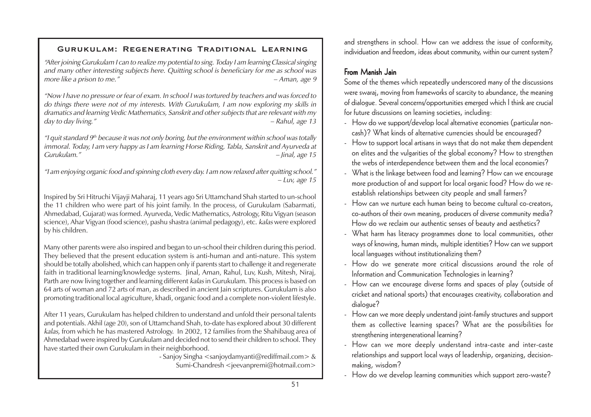### **Gurukulam: Regenerating Traditional Learning**

"After joining Gurukulam I can to realize my potential to sing. Today I am learning Classical singing and many other interesting subjects here. Quitting school is beneficiary for me as school was more like a prison to me."

"Now I have no pressure or fear of exam. In school I was tortured by teachers and was forced to do things there were not of my interests. With Gurukulam, I am now exploring my skills in dramatics and learning Vedic Mathematics, Sanskrit and other subjects that are relevant with my day to day living." – Rahul, age 13

"I quit standard  $9<sup>th</sup>$  because it was not only boring, but the environment within school was totally immoral. Today, I am very happy as I am learning Horse Riding, Tabla, Sanskrit and Ayurveda at Gurukulam." – Jinal, age 15

"I am enjoying organic food and spinning cloth every day. I am now relaxed after quitting school."  $-Luv$ , age 15

Inspired by Sri Hitruchi Vijayji Maharaj, 11 years ago Sri Uttamchand Shah started to un-school the 11 children who were part of his joint family. In the process, of Gurukulam (Sabarmati, Ahmedabad, Gujarat) was formed. Ayurveda, Vedic Mathematics, Astrology, Ritu Vigyan (season science), Ahar Vigyan (food science), pashu shastra (animal pedagogy), etc. kalas were explored by his children.

Many other parents were also inspired and began to un-school their children during this period. They believed that the present education system is anti-human and anti-nature. This system should be totally abolished, which can happen only if parents start to challenge it and regenerate faith in traditional learning/knowledge systems. Jinal, Aman, Rahul, Luv, Kush, Mitesh, Niraj, Parth are now living together and learning different kalas in Gurukulam. This process is based on 64 arts of woman and 72 arts of man, as described in ancient Jain scriptures. Gurukulam is also promoting traditional local agriculture, khadi, organic food and a complete non-violent lifestyle.

After 11 years, Gurukulam has helped children to understand and unfold their personal talents and potentials. Akhil (age 20), son of Uttamchand Shah, to-date has explored about 30 different kalas, from which he has mastered Astrology. In 2002, 12 families from the Shahibaug area of Ahmedabad were inspired by Gurukulam and decided not to send their children to school. They have started their own Gurukulam in their neighborhood.

- Sanjoy Singha <sanjoydamyanti@rediffmail.com> & Sumi-Chandresh <jeevanpremi@hotmail.com>

and strengthens in school. How can we address the issue of conformity, individuation and freedom, ideas about community, within our current system?

## From Manish Jain

Some of the themes which repeatedly underscored many of the discussions were swaraj, moving from frameworks of scarcity to abundance, the meaning of dialogue. Several concerns/opportunities emerged which I think are crucial for future discussions on learning societies, including:

- How do we support/develop local alternative economies (particular noncash)? What kinds of alternative currencies should be encouraged?
- How to support local artisans in ways that do not make them dependent on elites and the vulgarities of the global economy? How to strengthen the webs of interdependence between them and the local economies?
- What is the linkage between food and learning? How can we encourage more production of and support for local organic food? How do we reestablish relationships between city people and small farmers?
- How can we nurture each human being to become cultural co-creators, co-authors of their own meaning, producers of diverse community media? How do we reclaim our authentic senses of beauty and aesthetics?
- What harm has literacy programmes done to local communities, other ways of knowing, human minds, multiple identities? How can we support local languages without institutionalizing them?
- How do we generate more critical discussions around the role of Information and Communication Technologies in learning?
- How can we encourage diverse forms and spaces of play (outside of cricket and national sports) that encourages creativity, collaboration and dialogue?
- How can we more deeply understand joint-family structures and support them as collective learning spaces? What are the possibilities for strengthening intergenerational learning?
- How can we more deeply understand intra-caste and inter-caste relationships and support local ways of leadership, organizing, decisionmaking, wisdom?
- How do we develop learning communities which support zero-waste?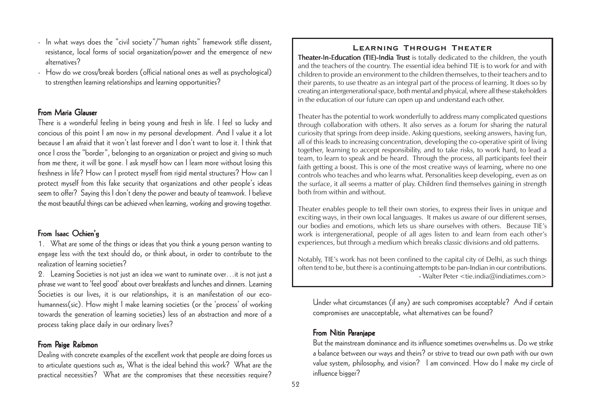alternatives? - How do we cross/break borders (official national ones as well as psychological) to strengthen learning relationships and learning opportunities?

- In what ways does the "civil society"/"human rights" framework stifle dissent, resistance, local forms of social organization/power and the emergence of new

#### From Maria Glauser

There is a wonderful feeling in being young and fresh in life. I feel so lucky and concious of this point I am now in my personal development. And I value it a lot because I am afraid that it won't last forever and I don't want to lose it. I think that once I cross the "border", belonging to an organization or project and giving so much from me there, it will be gone. I ask myself how can I learn more without losing this freshness in life? How can I protect myself from rigid mental structures? How can I protect myself from this fake security that organizations and other people's ideas seem to offer? Saying this I don't deny the power and beauty of teamwork. I believe the most beautiful things can be achieved when learning, working and growing together.

### From Isaac Ochien'g

1. What are some of the things or ideas that you think a young person wanting to engage less with the text should do, or think about, in order to contribute to the realization of learning societies?

2. Learning Societies is not just an idea we want to ruminate over…it is not just a phrase we want to 'feel good' about over breakfasts and lunches and dinners. Learning Societies is our lives, it is our relationships, it is an manifestation of our ecohumanness(sic). How might I make learning societies (or the 'process' of working towards the generation of learning societies) less of an abstraction and more of a process taking place daily in our ordinary lives?

### From Paige Raibmon

Dealing with concrete examples of the excellent work that people are doing forces us to articulate questions such as, What is the ideal behind this work? What are the practical necessities? What are the compromises that these necessities require?

#### **Learning Through Theater**

Theater-In-Education (TIE)-India Trust is totally dedicated to the children, the youth and the teachers of the country. The essential idea behind TIE is to work for and with children to provide an environment to the children themselves, to their teachers and to their parents, to use theatre as an integral part of the process of learning. It does so by creating an intergenerational space, both mental and physical, where all these stakeholders in the education of our future can open up and understand each other.

Theater has the potential to work wonderfully to address many complicated questions through collaboration with others. It also serves as a forum for sharing the natural curiosity that springs from deep inside. Asking questions, seeking answers, having fun, all of this leads to increasing concentration, developing the co-operative spirit of living together, learning to accept responsibility, and to take risks, to work hard, to lead a team, to learn to speak and be heard. Through the process, all participants feel their faith getting a boost. This is one of the most creative ways of learning, where no one controls who teaches and who learns what. Personalities keep developing, even as on the surface, it all seems a matter of play. Children find themselves gaining in strength both from within and without.

Theater enables people to tell their own stories, to express their lives in unique and exciting ways, in their own local languages. It makes us aware of our different senses, our bodies and emotions, which lets us share ourselves with others. Because TIE's work is intergenerational, people of all ages listen to and learn from each other's experiences, but through a medium which breaks classic divisions and old patterns.

Notably, TIE's work has not been confined to the capital city of Delhi, as such things often tend to be, but there is a continuing attempts to be pan-Indian in our contributions. - Walter Peter <tie.india@indiatimes.com>

Under what circumstances (if any) are such compromises acceptable? And if certain compromises are unacceptable, what alternatives can be found?

#### From Nitin Paranjape

But the mainstream dominance and its influence sometimes overwhelms us. Do we strike a balance between our ways and theirs? or strive to tread our own path with our own value system, philosophy, and vision? I am convinced. How do I make my circle of influence bigger?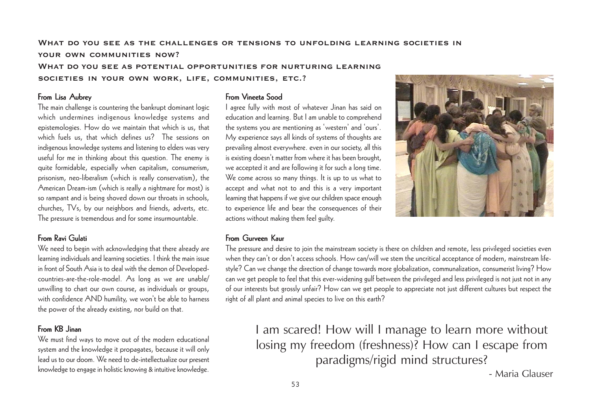### **What do you see as the challenges or tensions to unfolding learning societies in your own communities now? What do you see as potential opportunities for nurturing learning societies in your own work, life, communities, etc.?**

#### From Lisa Aubrey

The main challenge is countering the bankrupt dominant logic which undermines indigenous knowledge systems and epistemologies. How do we maintain that which is us, that which fuels us, that which defines us? The sessions on indigenous knowledge systems and listening to elders was very useful for me in thinking about this question. The enemy is quite formidable, especially when capitalism, consumerism, prisonism, neo-liberalism (which is really conservatism), the American Dream-ism (which is really a nightmare for most) is so rampant and is being shoved down our throats in schools, churches, TVs, by our neighbors and friends, adverts, etc. The pressure is tremendous and for some insurmountable.

#### From Ravi Gulati

We need to begin with acknowledging that there already are learning individuals and learning societies. I think the main issue in front of South Asia is to deal with the demon of Developedcountries-are-the-role-model. As long as we are unable/ unwilling to chart our own course, as individuals or groups, with confidence AND humility, we won't be able to harness the power of the already existing, nor build on that.

### From KB Jinan

We must find ways to move out of the modern educational system and the knowledge it propagates, because it will only lead us to our doom. We need to de-intellectualize our present knowledge to engage in holistic knowing & intuitive knowledge.

#### From Vineeta Sood

I agree fully with most of whatever Jinan has said on education and learning. But I am unable to comprehend the systems you are mentioning as 'western' and 'ours'. My experience says all kinds of systems of thoughts are prevailing almost everywhere. even in our society, all this is existing doesn't matter from where it has been brought, we accepted it and are following it for such a long time. We come across so many things. It is up to us what to accept and what not to and this is a very important learning that happens if we give our children space enough to experience life and bear the consequences of their actions without making them feel guilty.



#### From Gurveen Kaur

The pressure and desire to join the mainstream society is there on children and remote, less privileged societies even when they can't or don't access schools. How can/will we stem the uncritical acceptance of modern, mainstream lifestyle? Can we change the direction of change towards more globalization, communalization, consumerist living? How can we get people to feel that this ever-widening gulf between the privileged and less privileged is not just not in any of our interests but grossly unfair? How can we get people to appreciate not just different cultures but respect the right of all plant and animal species to live on this earth?

I am scared! How will I manage to learn more without losing my freedom (freshness)? How can I escape from paradigms/rigid mind structures?

- Maria Glauser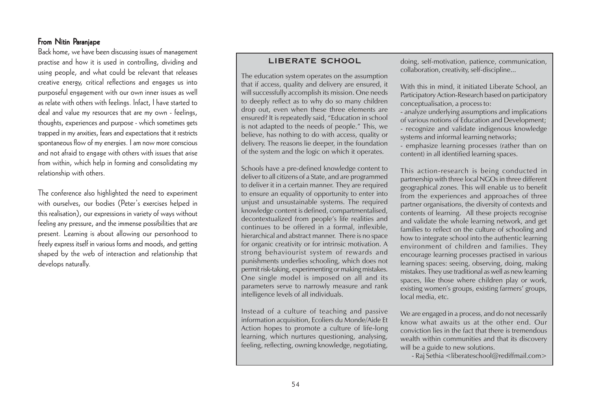#### From Nitin Paranjape

Back home, we have been discussing issues of management practise and how it is used in controlling, dividing and using people, and what could be relevant that releases creative energy, critical reflections and engages us into purposeful engagement with our own inner issues as well as relate with others with feelings. Infact, I have started to deal and value my resources that are my own - feelings, thoughts, experiences and purpose - which sometimes gets trapped in my anxities, fears and expectations that it restricts spontaneous flow of my energies. I am now more conscious and not afraid to engage with others with issues that arise from within, which help in forming and consolidating my relationship with others.

The conference also highlighted the need to experiment with ourselves, our bodies (Peter's exercises helped in this realisation), our expressions in variety of ways without feeling any pressure, and the immense possibilities that are present. Learning is about allowing our personhood to freely express itself in various forms and moods, and getting shaped by the web of interaction and relationship that develops naturally.

#### **LIBERATE SCHOOL**

The education system operates on the assumption that if access, quality and delivery are ensured, it will successfully accomplish its mission. One needs to deeply reflect as to why do so many children drop out, even when these three elements are ensured? It is repeatedly said, "Education in school is not adapted to the needs of people." This, we believe, has nothing to do with access, quality or delivery. The reasons lie deeper, in the foundation of the system and the logic on which it operates.

Schools have a pre-defined knowledge content to deliver to all citizens of a State, and are programmed to deliver it in a certain manner. They are required to ensure an equality of opportunity to enter into unjust and unsustainable systems. The required knowledge content is defined, compartmentalised, decontextualized from people's life realities and continues to be offered in a formal, inflexible, hierarchical and abstract manner. There is no space for organic creativity or for intrinsic motivation. A strong behaviourist system of rewards and punishments underlies schooling, which does not permit risk-taking, experimenting or making mistakes. One single model is imposed on all and its parameters serve to narrowly measure and rank intelligence levels of all individuals.

Instead of a culture of teaching and passive information acquisition, Ecoliers du Monde/Aide Et Action hopes to promote a culture of life-long learning, which nurtures questioning, analysing, feeling, reflecting, owning knowledge, negotiating,

doing, self-motivation, patience, communication, collaboration, creativity, self-discipline...

With this in mind, it initiated Liberate School, an Participatory Action-Research based on participatory conceptualisation, a process to:

- analyze underlying assumptions and implications of various notions of Education and Development; - recognize and validate indigenous knowledge systems and informal learning networks;

- emphasize learning processes (rather than on content) in all identified learning spaces.

This action-research is being conducted in partnership with three local NGOs in three different geographical zones. This will enable us to benefit from the experiences and approaches of three partner organisations, the diversity of contexts and contents of learning. All these projects recognise and validate the whole learning network, and get families to reflect on the culture of schooling and how to integrate school into the authentic learning environment of children and families. They encourage learning processes practised in various learning spaces: seeing, observing, doing, making mistakes. They use traditional as well as new learning spaces, like those where children play or work, existing women's groups, existing farmers' groups, local media, etc.

We are engaged in a process, and do not necessarily know what awaits us at the other end. Our conviction lies in the fact that there is tremendous wealth within communities and that its discovery will be a guide to new solutions.

- Raj Sethia <liberateschool@rediffmail.com>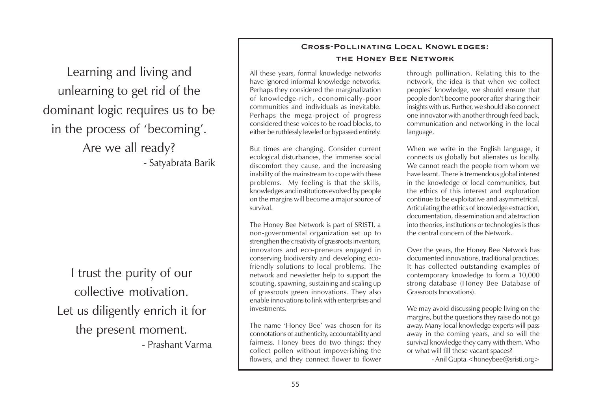Learning and living and unlearning to get rid of the dominant logic requires us to be in the process of 'becoming'. Are we all ready?

- Satyabrata Barik

I trust the purity of our collective motivation. Let us diligently enrich it for the present moment.

- Prashant Varma

#### **Cross-Pollinating Local Knowledges: the Honey Bee Network**

All these years, formal knowledge networks have ignored informal knowledge networks. Perhaps they considered the marginalization of knowledge-rich, economically-poor communities and individuals as inevitable. Perhaps the mega-project of progress considered these voices to be road blocks, to either be ruthlessly leveled or bypassed entirely.

But times are changing. Consider current ecological disturbances, the immense social discomfort they cause, and the increasing inability of the mainstream to cope with these problems. My feeling is that the skills, knowledges and institutions evolved by people on the margins will become a major source of survival.

The Honey Bee Network is part of SRISTI, a non-governmental organization set up to strengthen the creativity of grassroots inventors, innovators and eco-preneurs engaged in conserving biodiversity and developing ecofriendly solutions to local problems. The network and newsletter help to support the scouting, spawning, sustaining and scaling up of grassroots green innovations. They also enable innovations to link with enterprises and investments.

The name 'Honey Bee' was chosen for its connotations of authenticity, accountability and fairness. Honey bees do two things: they collect pollen without impoverishing the flowers, and they connect flower to flower

through pollination. Relating this to the network, the idea is that when we collect peoples' knowledge, we should ensure that people don't become poorer after sharing their insights with us. Further, we should also connect one innovator with another through feed back, communication and networking in the local language.

When we write in the English language, it connects us globally but alienates us locally. We cannot reach the people from whom we have learnt. There is tremendous global interest in the knowledge of local communities, but the ethics of this interest and exploration continue to be exploitative and asymmetrical. Articulating the ethics of knowledge extraction, documentation, dissemination and abstraction into theories, institutions or technologies is thus the central concern of the Network.

Over the years, the Honey Bee Network has documented innovations, traditional practices. It has collected outstanding examples of contemporary knowledge to form a 10,000 strong database (Honey Bee Database of Grassroots Innovations).

We may avoid discussing people living on the margins, but the questions they raise do not go away. Many local knowledge experts will pass away in the coming years, and so will the survival knowledge they carry with them. Who or what will fill these vacant spaces?

- Anil Gupta <honeybee@sristi.org>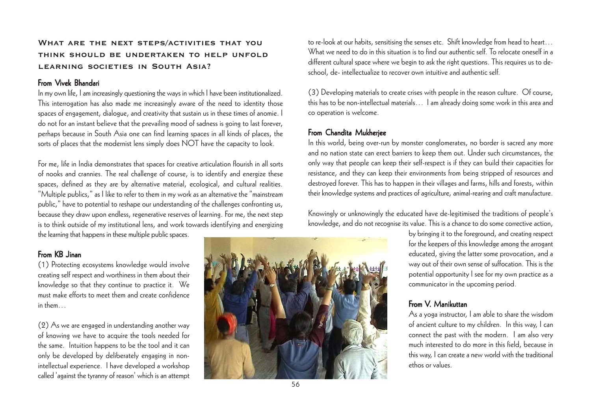### **What are the next steps/activities that you think should be undertaken to help unfold learning societies in South Asia?**

#### From Vivek Bhandari

In my own life, I am increasingly questioning the ways in which I have been institutionalized. This interrogation has also made me increasingly aware of the need to identity those spaces of engagement, dialogue, and creativity that sustain us in these times of anomie. I do not for an instant believe that the prevailing mood of sadness is going to last forever, perhaps because in South Asia one can find learning spaces in all kinds of places, the sorts of places that the modernist lens simply does NOT have the capacity to look.

For me, life in India demonstrates that spaces for creative articulation flourish in all sorts of nooks and crannies. The real challenge of course, is to identify and energize these spaces, defined as they are by alternative material, ecological, and cultural realities. "Multiple publics," as I like to refer to them in my work as an alternative the "mainstream public," have to potential to reshape our understanding of the challenges confronting us, because they draw upon endless, regenerative reserves of learning. For me, the next step is to think outside of my institutional lens, and work towards identifying and energizing the learning that happens in these multiple public spaces.

### From KB Jinan

(1) Protecting ecosystems knowledge would involve creating self respect and worthiness in them about their knowledge so that they continue to practice it. We must make efforts to meet them and create confidence in them…

(2) As we are engaged in understanding another way of knowing we have to acquire the tools needed for the same. Intuition happens to be the tool and it can only be developed by deliberately engaging in nonintellectual experience. I have developed a workshop called 'against the tyranny of reason' which is an attempt



to re-look at our habits, sensitising the senses etc. Shift knowledge from head to heart… What we need to do in this situation is to find our authentic self. To relocate oneself in a different cultural space where we begin to ask the right questions. This requires us to deschool, de- intellectualize to recover own intuitive and authentic self.

(3) Developing materials to create crises with people in the reason culture. Of course, this has to be non-intellectual materials… I am already doing some work in this area and co operation is welcome.

### From Chandita Mukheriee

In this world, being over-run by monster conglomerates, no border is sacred any more and no nation state can erect barriers to keep them out. Under such circumstances, the only way that people can keep their self-respect is if they can build their capacities for resistance, and they can keep their environments from being stripped of resources and destroyed forever. This has to happen in their villages and farms, hills and forests, within their knowledge systems and practices of agriculture, animal-rearing and craft manufacture.

Knowingly or unknowingly the educated have de-legitimised the traditions of people's knowledge, and do not recognise its value. This is a chance to do some corrective action,

> by bringing it to the foreground, and creating respect for the keepers of this knowledge among the arrogant educated, giving the latter some provocation, and a way out of their own sense of suffocation. This is the potential opportunity I see for my own practice as a communicator in the upcoming period.

### From V. Manikuttan

As a yoga instructor, I am able to share the wisdom of ancient culture to my children. In this way, I can connect the past with the modern. I am also very much interested to do more in this field, because in this way, I can create a new world with the traditional ethos or values.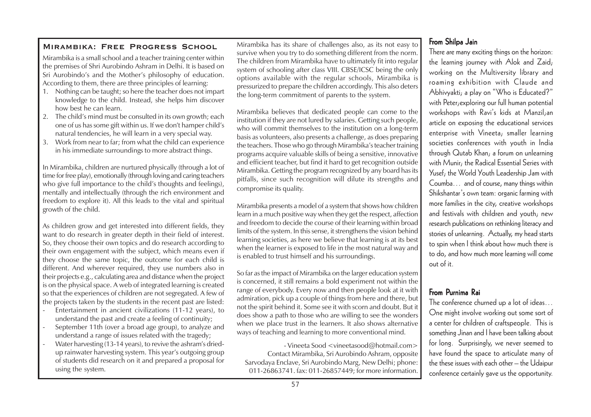Mirambika is a small school and a teacher training center within the premises of Shri Aurobindo Ashram in Delhi. It is based on Sri Aurobindo's and the Mother's philosophy of education. According to them, there are three principles of learning:

- 1. Nothing can be taught; so here the teacher does not impart knowledge to the child. Instead, she helps him discover how best he can learn.
- 2. The child's mind must be consulted in its own growth; each one of us has some gift within us. If we don't hamper child's natural tendencies, he will learn in a very special way.
- 3. Work from near to far; from what the child can experience in his immediate surroundings to more abstract things.

In Mirambika, children are nurtured physically (through a lot of time for free play), emotionally (through loving and caring teachers who give full importance to the child's thoughts and feelings), mentally and intellectually (through the rich environment and freedom to explore it). All this leads to the vital and spiritual growth of the child.

As children grow and get interested into different fields, they want to do research in greater depth in their field of interest. So, they choose their own topics and do research according to their own engagement with the subject, which means even if they choose the same topic, the outcome for each child is different. And wherever required, they use numbers also in their projects e.g., calculating area and distance when the project is on the physical space. A web of integrated learning is created so that the experiences of children are not segregated. A few of the projects taken by the students in the recent past are listed:

- Entertainment in ancient civilizations (11-12 years), to understand the past and create a feeling of continuity;
- September 11th (over a broad age group), to analyze and understand a range of issues related with the tragedy;
- Water harvesting (13-14 years), to revive the ashram's driedup rainwater harvesting system. This year's outgoing group of students did research on it and prepared a proposal for using the system.

Mirambika has its share of challenges also, as its not easy to MIRAMBIKA: FREE PROGRESS SCHOOL Mirambika has its share of challenges also, as its not easy to **From Shilpa Jain**<br>Survive when you try to do something different from the norm. There are many exciting things on the horizon: The children from Mirambika have to ultimately fit into regular system of schooling after class VIII. CBSE/ICSC being the only options available with the regular schools, Mirambika is pressurized to prepare the children accordingly. This also deters the long-term commitment of parents to the system.

> Mirambika believes that dedicated people can come to the institution if they are not lured by salaries. Getting such people, who will commit themselves to the institution on a long-term basis as volunteers, also presents a challenge, as does preparing the teachers. Those who go through Mirambika's teacher training programs acquire valuable skills of being a sensitive, innovative and efficient teacher, but find it hard to get recognition outside Mirambika. Getting the program recognized by any board has its pitfalls, since such recognition will dilute its strengths and compromise its quality.

> Mirambika presents a model of a system that shows how children learn in a much positive way when they get the respect, affection and freedom to decide the course of their learning within broad limits of the system. In this sense, it strengthens the vision behind learning societies, as here we believe that learning is at its best when the learner is exposed to life in the most natural way and is enabled to trust himself and his surroundings.

> So far as the impact of Mirambika on the larger education system is concerned, it still remains a bold experiment not within the range of everybody. Every now and then people look at it with admiration, pick up a couple of things from here and there, but not the spirit behind it. Some see it with scorn and doubt. But it does show a path to those who are willing to see the wonders when we place trust in the learners. It also shows alternative ways of teaching and learning to more conventional mind.

- Vineeta Sood <vineetasood@hotmail.com> Contact Mirambika, Sri Aurobindo Ashram, opposite Sarvodaya Enclave, Sri Aurobindo Marg, New Delhi; phone: 011-26863741. fax: 011-26857449; for more information.

the learning journey with Alok and Zaid; working on the Multiversity library and roaming exhibition with Claude and Abhivyakti; a play on "Who is Educated?" with Peter;exploring our full human potential workshops with Ravi's kids at Manzil;an article on exposing the educational services enterprise with Vineeta; smaller learning societies conferences with youth in India through Qutab Khan; a forum on unlearning with Munir; the Radical Essential Series with Yusef; the World Youth Leadership Jam with Coumba… and of course, many things within Shikshantar's own team: organic farming with more families in the city, creative workshops and festivals with children and youth; new research publications on rethinking literacy and stories of unlearning. Actually, my head starts to spin when I think about how much there is to do, and how much more learning will come out of it.

### From Purnima Rai

The conference churned up a lot of ideas… One might involve working out some sort of a center for children of craftspeople. This is something Jinan and I have been talking about for long. Surprisingly, we never seemed to have found the space to articulate many of the these issues with each other – the Udaipur conference certainly gave us the opportunity.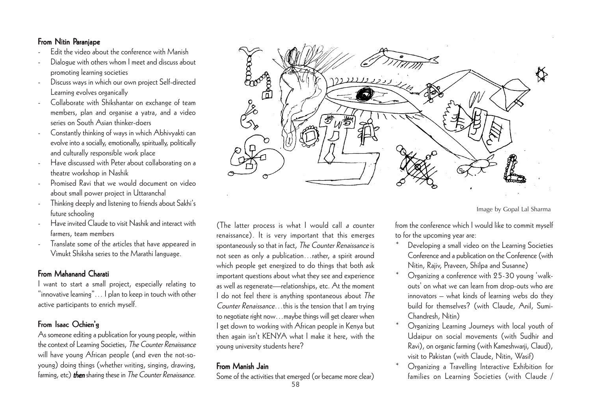### From Nitin Paranjape

- Edit the video about the conference with Manish
- Dialogue with others whom I meet and discuss about promoting learning societies
- Discuss ways in which our own project Self-directed Learning evolves organically
- Collaborate with Shikshantar on exchange of team members, plan and organise a yatra, and a video series on South Asian thinker-doers
- Constantly thinking of ways in which Abhivyakti can evolve into a socially, emotionally, spiritually, politically and culturally responsible work place
- Have discussed with Peter about collaborating on a theatre workshop in Nashik
- Promised Ravi that we would document on video about small power project in Uttaranchal
- Thinking deeply and listening to friends about Sakhi's future schooling
- Have invited Claude to visit Nashik and interact with farmers, team members
- Translate some of the articles that have appeared in Vimukt Shiksha series to the Marathi language.

### From Mahanand Charati

I want to start a small project, especially relating to "innovative learning"… I plan to keep in touch with other active participants to enrich myself.

### From Isaac Ochien'g

As someone editing a publication for young people, within the context of Learning Societies, The Counter Renaissance will have young African people (and even the not-soyoung) doing things (whether writing, singing, drawing, farming, etc) **then** sharing these in The Counter Renaissance.



### From Manish Jain

Some of the activities that emerged (or became more clear)



Image by Gopal Lal Sharma

from the conference which I would like to commit myself to for the upcoming year are: \*

- Developing a small video on the Learning Societies Conference and a publication on the Conference (with Nitin, Rajiv, Praveen, Shilpa and Susanne)
- \* Organizing a conference with 25-30 young 'walkouts' on what we can learn from drop-outs who are innovators – what kinds of learning webs do they build for themselves? (with Claude, Anil, Sumi-Chandresh, Nitin)
- \* Organizing Learning Journeys with local youth of Udaipur on social movements (with Sudhir and Ravi), on organic farming (with Kameshwarji, Claud), visit to Pakistan (with Claude, Nitin, Wasif)
- \* Organizing a Travelling Interactive Exhibition for families on Learning Societies (with Claude /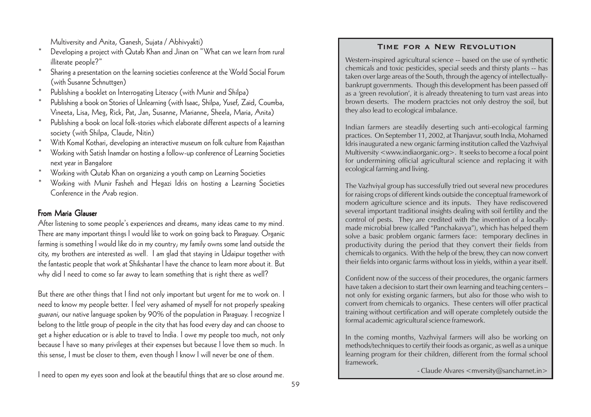Multiversity and Anita, Ganesh, Sujata / Abhivyakti)

- \* Developing a project with Qutab Khan and Jinan on "What can we learn from rural illiterate people?"
- \* Sharing a presentation on the learning societies conference at the World Social Forum (with Susanne Schnuttgen)
- \*Publishing a booklet on Interrogating Literacy (with Munir and Shilpa)
- \* Publishing a book on Stories of Unlearning (with Isaac, Shilpa, Yusef, Zaid, Coumba, Vineeta, Lisa, Meg, Rick, Pat, Jan, Susanne, Marianne, Sheela, Maria, Anita)
- \* Publishing a book on local folk-stories which elaborate different aspects of a learning society (with Shilpa, Claude, Nitin)
- \*With Komal Kothari, developing an interactive museum on folk culture from Rajasthan
- \* Working with Satish Inamdar on hosting a follow-up conference of Learning Societies next year in Bangalore
- \*Working with Qutab Khan on organizing a youth camp on Learning Societies
- \* Working with Munir Fasheh and Hegazi Idris on hosting a Learning Societies Conference in the Arab region.

### From Maria Glauser

After listening to some people's experiences and dreams, many ideas came to my mind. There are many important things I would like to work on going back to Paraguay. Organic farming is something I would like do in my country; my family owns some land outside the city, my brothers are interested as well. I am glad that staying in Udaipur together with the fantastic people that work at Shikshantar l have the chance to learn more about it. But why did I need to come so far away to learn something that is right there as well?

But there are other things that I find not only important but urgent for me to work on. I need to know my people better. I feel very ashamed of myself for not properly speaking guarani, our native language spoken by 90% of the population in Paraguay. I recognize I belong to the little group of people in the city that has food every day and can choose to get a higher education or is able to travel to India. I owe my people too much, not only because I have so many privileges at their expenses but because I love them so much. In this sense, I must be closer to them, even though I know I will never be one of them.

I need to open my eyes soon and look at the beautiful things that are so close around me.

#### **Time for a New Revolution**

Western-inspired agricultural science -- based on the use of synthetic chemicals and toxic pesticides, special seeds and thirsty plants -- has taken over large areas of the South, through the agency of intellectuallybankrupt governments. Though this development has been passed off as a 'green revolution', it is already threatening to turn vast areas into brown deserts. The modern practcies not only destroy the soil, but they also lead to ecological imbalance.

Indian farmers are steadily deserting such anti-ecological farming practices. On September 11, 2002, at Thanjavur, south India, Mohamed Idris inaugurated a new organic farming institution called the Vazhviyal Multiversity <www.indiaorganic.org>. It seeks to become a focal point for undermining official agricultural science and replacing it with ecological farming and living.

The Vazhviyal group has successfully tried out several new procedures for raising crops of different kinds outside the conceptual framework of modern agriculture science and its inputs. They have rediscovered several important traditional insights dealing with soil fertility and the control of pests. They are credited with the invention of a locallymade microbial brew (called "Panchakavya"), which has helped them solve a basic problem organic farmers face: temporary declines in productivity during the period that they convert their fields from chemicals to organics. With the help of the brew, they can now convert their fields into organic farms without loss in yields, within a year itself.

Confident now of the success of their procedures, the organic farmers have taken a decision to start their own learning and teaching centers – not only for existing organic farmers, but also for those who wish to convert from chemicals to organics. These centers will offer practical training without certification and will operate completely outside the formal academic agricultural science framework.

In the coming months, Vazhviyal farmers will also be working on methods/techniques to certify their foods as organic, as well as a unique learning program for their children, different from the formal school framework.

- Claude Alvares < mversity@sancharnet.in>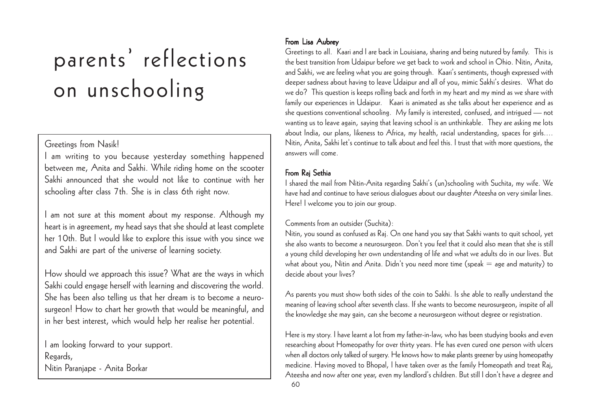# parents' reflections on unschooling

### Greetings from Nasik!

I am writing to you because yesterday something happened between me, Anita and Sakhi. While riding home on the scooter Sakhi announced that she would not like to continue with her schooling after class 7th. She is in class 6th right now.

I am not sure at this moment about my response. Although my heart is in agreement, my head says that she should at least complete her 10th. But I would like to explore this issue with you since we and Sakhi are part of the universe of learning society.

How should we approach this issue? What are the ways in which Sakhi could engage herself with learning and discovering the world. She has been also telling us that her dream is to become a neurosurgeon! How to chart her growth that would be meaningful, and in her best interest, which would help her realise her potential.

I am looking forward to your support. Regards, Nitin Paranjape - Anita Borkar

### From Lisa Aubrey

Greetings to all. Kaari and I are back in Louisiana, sharing and being nutured by family. This is the best transition from Udaipur before we get back to work and school in Ohio. Nitin, Anita, and Sakhi, we are feeling what you are going through. Kaari's sentiments, though expressed with deeper sadness about having to leave Udaipur and all of you, mimic Sakhi's desires. What do we do? This question is keeps rolling back and forth in my heart and my mind as we share with family our experiences in Udaipur. Kaari is animated as she talks about her experience and as she questions conventional schooling. My family is interested, confused, and intrigued — not wanting us to leave again, saying that leaving school is an unthinkable. They are asking me lots about India, our plans, likeness to Africa, my health, racial understanding, spaces for girls.... Nitin, Anita, Sakhi let's continue to talk about and feel this. I trust that with more questions, the answers will come.

## From Rai Sethia

I shared the mail from Nitin-Anita regarding Sakhi's (un)schooling with Suchita, my wife. We have had and continue to have serious dialogues about our daughter Ateesha on very similar lines. Here! I welcome you to join our group.

### Comments from an outsider (Suchita):

Nitin, you sound as confused as Raj. On one hand you say that Sakhi wants to quit school, yet she also wants to become a neurosurgeon. Don't you feel that it could also mean that she is still a young child developing her own understanding of life and what we adults do in our lives. But what about you, Nitin and Anita. Didn't you need more time (speak  $=$  age and maturity) to decide about your lives?

As parents you must show both sides of the coin to Sakhi. Is she able to really understand the meaning of leaving school after seventh class. If she wants to become neurosurgeon, inspite of all the knowledge she may gain, can she become a neurosurgeon without degree or registration.

Here is my story. I have learnt a lot from my father-in-law, who has been studying books and even researching about Homeopathy for over thirty years. He has even cured one person with ulcers when all doctors only talked of surgery. He knows how to make plants greener by using homeopathy medicine. Having moved to Bhopal, I have taken over as the family Homeopath and treat Raj, Ateesha and now after one year, even my landlord's children. But still I don't have a degree and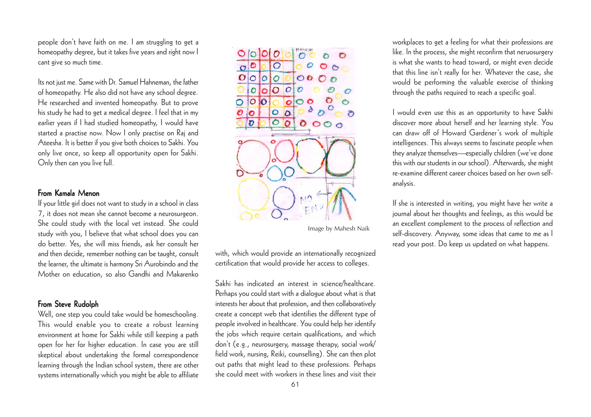people don't have faith on me. I am struggling to get a homeopathy degree, but it takes five years and right now I cant give so much time.

Its not just me. Same with Dr. Samuel Hahneman, the father of homeopathy. He also did not have any school degree. He researched and invented homeopathy. But to prove his study he had to get a medical degree. I feel that in my earlier years if I had studied homeopathy, I would have started a practise now. Now I only practise on Raj and Ateesha. It is better if you give both choices to Sakhi. You only live once, so keep all opportunity open for Sakhi. Only then can you live full.

#### From Kamala Menon

If your little girl does not want to study in a school in class 7, it does not mean she cannot become a neurosurgeon. She could study with the local vet instead. She could study with you, I believe that what school does you can do better. Yes, she will miss friends, ask her consult her and then decide, remember nothing can be taught, consult the learner, the ultimate is harmony Sri Aurobindo and the Mother on education, so also Gandhi and Makarenko

#### From Steve Rudolph

Well, one step you could take would be homeschooling. This would enable you to create a robust learning environment at home for Sakhi while still keeping a path open for her for higher education. In case you are still skeptical about undertaking the formal correspondence learning through the Indian school system, there are other systems internationally which you might be able to affiliate



Image by Mahesh Naik

with, which would provide an internationally recognized certification that would provide her access to colleges.

Sakhi has indicated an interest in science/healthcare. Perhaps you could start with a dialogue about what is that interests her about that profession, and then collaboratively create a concept web that identifies the different type of people involved in healthcare. You could help her identify the jobs which require certain qualifications, and which don't (e.g., neurosurgery, massage therapy, social work/ field work, nursing, Reiki, counselling). She can then plot out paths that might lead to these professions. Perhaps she could meet with workers in these lines and visit their workplaces to get a feeling for what their professions are like. In the process, she might reconfirm that neruosurgery is what she wants to head toward, or might even decide that this line isn't really for her. Whatever the case, she would be performing the valuable exercise of thinking through the paths required to reach a specific goal.

I would even use this as an opportunity to have Sakhi discover more about herself and her learning style. You can draw off of Howard Gardener's work of multiple intelligences. This always seems to fascinate people when they analyze themselves—especially children (we've done this with our students in our school). Afterwards, she might re-examine different career choices based on her own selfanalysis.

If she is interested in writing, you might have her write a journal about her thoughts and feelings, as this would be an excellent complement to the process of reflection and self-discovery. Anyway, some ideas that came to me as I read your post. Do keep us updated on what happens.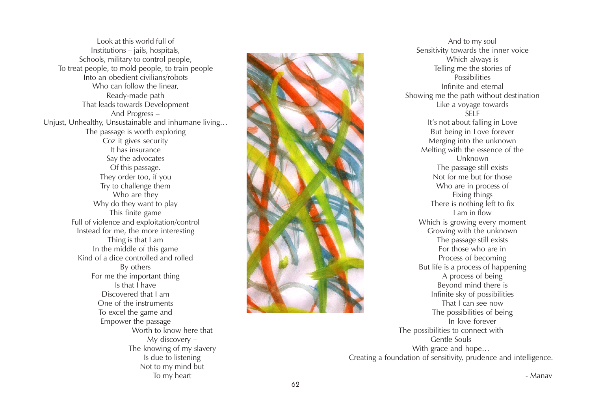Look at this world full of Institutions – jails, hospitals, Schools, military to control people, To treat people, to mold people, to train people Into an obedient civilians/robots Who can follow the linear, Ready-made path That leads towards Development And Progress – Unjust, Unhealthy, Unsustainable and inhumane living… The passage is worth exploring Coz it gives security It has insurance Say the advocates Of this passage. They order too, if you Try to challenge them Who are they Why do they want to play This finite game Full of violence and exploitation/control Instead for me, the more interesting Thing is that I am In the middle of this game Kind of a dice controlled and rolled By others For me the important thing Is that I have Discovered that I am One of the instruments To excel the game and Empower the passage Worth to know here that My discovery – The knowing of my slavery Is due to listening Not to my mind but To my heart



And to my soul Sensitivity towards the inner voice Which always is Telling me the stories of **Possibilities** Infinite and eternal Showing me the path without destination Like a voyage towards SELF It's not about falling in Love But being in Love forever Merging into the unknown Melting with the essence of the Unknown The passage still exists Not for me but for those Who are in process of Fixing things There is nothing left to fix I am in flow Which is growing every moment Growing with the unknown The passage still exists For those who are in Process of becoming But life is a process of happening A process of being Beyond mind there is Infinite sky of possibilities That I can see now The possibilities of being In love forever The possibilities to connect with Gentle Souls With grace and hope… Creating a foundation of sensitivity, prudence and intelligence.

- Manav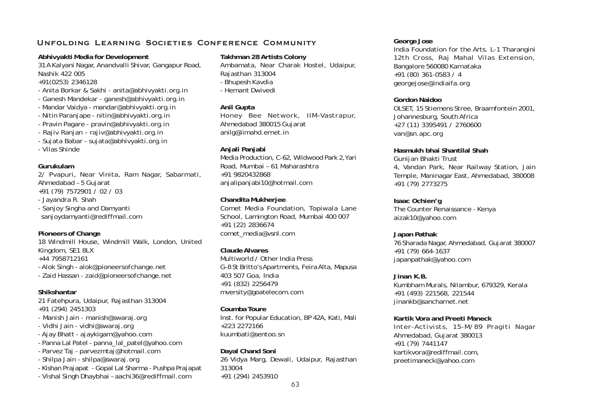#### **Unfolding Learning Societies Conference Community**

#### **Abhivyakti Media for Development**

31 A Kalyani Nagar, Anandvalli Shivar, Gangapur Road, Nashik 422 005

+91(0253) 2346128

- Anita Borkar & Sakhi anita@abhivyakti.org.in
- Ganesh Mandekar ganesh@abhivyakti.org.in
- Mandar Vaidya mandar@abhivyakti.org.in
- Nitin Paranjape nitin@abhivyakti.org.in
- Pravin Pagare pravin@abhivyakti.org.in
- Rajiv Ranjan rajiv@abhivyakti.org.in
- Sujata Babar sujata@abhivyakti.org.in
- Vilas Shinde

#### **Gurukulam**

2/ Pvapuri, Near Vinita, Ram Nagar, Sabarmati, Ahmedabad – 5 Gujarat +91 (79) 7572901 / 02 / 03 - Jayandra R. Shah - Sanjoy Singha and Damyanti sanjoydamyanti@rediffmail.com

#### **Pioneers of Change**

18 Windmill House, Windmill Walk, London, United Kingdom, SE1 8LX +44 7958712161 - Alok Singh - alok@pioneersofchange.net - Zaid Hassan - zaid@pioneersofchange.net

#### **Shikshantar**

21 Fatehpura, Udaipur, Rajasthan 313004 +91 (294) 2451303

- Manish Jain manish@swaraj.org
- Vidhi Jain vidhi@swaraj.org
- Ajay Bhatt ajaykigam@yahoo.com
- Panna Lal Patel panna\_lal\_patel@yahoo.com
- Parvez Taj parvezmtaj@hotmail.com
- Shilpa Jain shilpa@swaraj.org
- Kishan Prajapat Gopal Lal Sharma Pushpa Prajapat
- Vishal Singh Dhaybhai aachi36@rediffmail.com

#### **Takhman 28 Artists Colony**

Ambamata, Near Charak Hostel, Udaipur, Rajasthan 313004 - Bhupesh Kavdia - Hemant Dwivedi

#### **Anil Gupta**

Honey Bee Network, IIM–Vastrapur, Ahmedabad 380015 Gujarat anilg@iimahd.ernet.in

#### **Anjali Panjabi**

Media Production, C-62, Wildwood Park 2,Yari Road, Mumbai – 61 Maharashtra +91 9820432868 anjalipanjabi10@hotmail.com

#### **Chandita Mukherjee**

Comet Media Foundation, Topiwala Lane School, Lamington Road, Mumbai 400 007 +91 (22) 2836674 comet\_media@vsnl.com

#### **Claude Alvares**

Multiworld / Other India Press G-8 St Britto's Apartments, Feira Alta, Mapusa 403 507 Goa, India +91 (832) 2256479 mversity@goatelecom.com

#### **Coumba Toure**

Inst. for Popular Education, BP 42A, Kati, Mali +223 2272166 kuumbati@sentoo.sn

**Dayal Chand Soni** 26 Vidya Marg, Dewali, Udaipur, Rajasthan 313004 +91 (294) 2453910

#### **George Jose**

India Foundation for the Arts. L-1 Tharangini 12th Cross, Raj Mahal Vilas Extension, Bangalore 560080 Karnataka +91 (80) 361-0583 / 4 georgejose@indiaifa.org

#### **Gordon Naidoo**

OLSET, 15 Stiemens Stree, Braamfontein 2001, Johannesburg, South Africa +27 (11) 3395491 / 2760600 van@sn.apc.org

#### **Hasmukh bhai Shantilal Shah**

Gunijan Bhakti Trust 4, Vandan Park, Near Railway Station, Jain Temple, Maninagar East, Ahmedabad, 380008 +91 (79) 2773275

#### **Isaac Ochien'g** The Counter Renaissance - Kenya aizak10@yahoo.com

**Japan Pathak** 76 Sharada Nagar, Ahmedabad, Gujarat 380007 +91 (79) 664-1637 japanpathak@yahoo.com

**Jinan K.B.** Kumbham Murals, Nilambur, 679329, Kerala +91 (493) 221568, 221544 jinankb@sancharnet.net

#### **Kartik Vora and Preeti Maneck**

Inter-Activists, 15-M/89 Pragiti Nagar Ahmedabad, Gujarat 380013 +91 (79) 7441147 kartikvora@rediffmail.com, preetimaneck@yahoo.com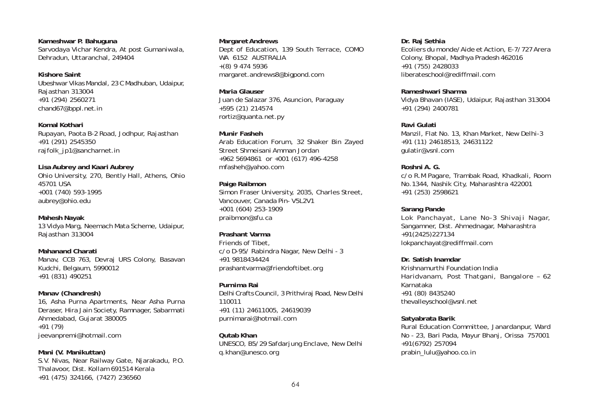**Kameshwar P. Bahuguna** Sarvodaya Vichar Kendra, At post Gumaniwala, Dehradun, Uttaranchal, 249404

**Kishore Saint** Ubeshwar Vikas Mandal, 23 C Madhuban, Udaipur, Rajasthan 313004 +91 (294) 2560271 chand67@bppl.net.in

**Komal Kothari** Rupayan, Paota B-2 Road, Jodhpur, Rajasthan +91 (291) 2545350 rajfolk\_jp1@sancharnet.in

**Lisa Aubrey and Kaari Aubrey** Ohio University, 270, Bently Hall, Athens, Ohio 45701 USA +001 (740) 593-1995 aubrey@ohio.edu

**Mahesh Nayak** 13 Vidya Marg, Neemach Mata Scheme, Udaipur, Rajasthan 313004

**Mahanand Charati** Manav, CCB 763, Devraj URS Colony, Basavan Kudchi, Belgaum, 5990012 +91 (831) 490251

**Manav (Chandresh)** 16, Asha Purna Apartments, Near Asha Purna Deraser, Hira Jain Society, Ramnager, Sabarmati Ahmedabad, Gujarat 380005 +91 (79) jeevanpremi@hotmail.com

**Mani (V. Manikuttan)** S.V. Nivas, Near Railway Gate, Njarakadu, P.O. Thalavoor, Dist. Kollam 691514 Kerala +91 (475) 324166, (7427) 236560

#### **Margaret Andrews**

Dept of Education, 139 South Terrace, COMO WA 6152 AUSTRALIA +(8) 9 474 5936 margaret.andrews8@bigpond.com

**Maria Glauser** Juan de Salazar 376, Asuncion, Paraguay +595 (21) 214574 rortiz@quanta.net.py

**Munir Fasheh** Arab Education Forum, 32 Shaker Bin Zayed Street Shmeisani Amman Jordan +962 5694861 or +001 (617) 496-4258 mfasheh@yahoo.com

**Paige Raibmon** Simon Fraser University, 2035, Charles Street, Vancouver, Canada Pin- V5L2V1 +001 (604) 253-1909 praibmon@sfu.ca

**Prashant Varma** Friends of Tibet, c/o D-95/ Rabindra Nagar, New Delhi - 3 +91 9818434424 prashantvarma@friendoftibet.org

**Purnima Rai** Delhi Crafts Council, 3 Prithviraj Road, New Delhi 110011 +91 (11) 24611005, 24619039 purnimarai@hotmail.com

**Qutab Khan** UNESCO, B5/29 Safdarjung Enclave, New Delhi q.khan@unesco.org

**Dr. Raj Sethia** Ecoliers du monde/Aide et Action, E-7/727 Arera Colony, Bhopal, Madhya Pradesh 462016 +91 (755) 2428033 liberateschool@rediffmail.com

**Rameshwari Sharma** Vidya Bhavan (IASE), Udaipur, Rajasthan 313004 +91 (294) 2400781

**Ravi Gulati** Manzil, Flat No. 13, Khan Market, New Delhi-3 +91 (11) 24618513, 24631122 gulatir@vsnl.com

**Roshni A. G.** c/o R.M Pagare, Trambak Road, Khadkali, Room No.1344, Nashik City, Maharashtra 422001 +91 (253) 2598621

**Sarang Pande** Lok Panchayat, Lane No-3 Shivaji Nagar, Sangamner, Dist. Ahmednagar, Maharashtra +91(2425)227134 lokpanchayat@rediffmail.com

**Dr. Satish Inamdar** Krishnamurthi Foundation India Haridvanam, Post Thatgani, Bangalore – 62 Karnataka +91 (80) 8435240 thevalleyschool@vsnl.net

**Satyabrata Barik** Rural Education Committee, Janardanpur, Ward No - 23, Bari Pada, Mayur Bhanj, Orissa 757001 +91(6792) 257094 prabin\_lulu@yahoo.co.in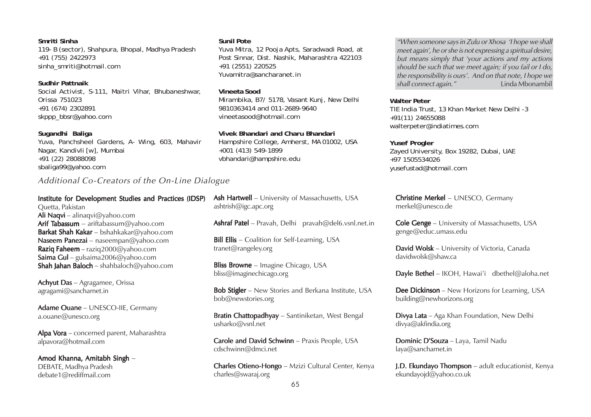#### **Smriti Sinha**

119- B (sector), Shahpura, Bhopal, Madhya Pradesh +91 (755) 2422973 sinha\_smriti@hotmail.com

**Sudhir Pattnaik** Social Activist, S-111, Maitri Vihar, Bhubaneshwar, Orissa 751023 +91 (674) 2302891 skppp\_bbsr@yahoo.com

#### **Sugandhi Baliga**

Yuva, Panchsheel Gardens, A- Wing, 603, Mahavir Nagar, Kandivli [w], Mumbai +91 (22) 28088098 sbaliga99@yahoo.com

### Additional Co-Creators of the On-Line Dialogue

#### Institute for Development Studies and Practices (IDSP) Quetta, Pakistan Ali Naqvi – alinaqvi@yahoo.com

Arif Tabassum – ariftabassum@yahoo.com **Barkat Shah Kakar** – bshahkakar@yahoo.com Naseem Panezai – nase empan@yahoo.com **Raziq Faheem** – raziq  $2000@$ yahoo.com Saima Gul – gulsaima2006@yahoo.com Shah Jahan Baloch – shahbaloch@yahoo.com

Achyut Das – Agragamee, Orissa agragami@sancharnet.in

Adame Ouane – UNESCO-IIE, Germany a.ouane@unesco.org

Alpa Vora – concerned parent, Maharashtra alpavora@hotmail.com

Amod Khanna, Amitabh Singh -DEBATE, Madhya Pradesh debate1@rediffmail.com

#### **Sunil Pote**

Yuva Mitra, 12 Pooja Apts, Saradwadi Road, at Post Sinnar, Dist. Nashik, Maharashtra 422103 +91 (2551) 220525 Yuvamitra@sancharanet.in

#### **Vineeta Sood**

Mirambika, B7/ 5178, Vasant Kunj, New Delhi 9810363414 and 011-2689-9640 vineetasood@hotmail.com

**Vivek Bhandari and Charu Bhandari** Hampshire College, Amherst, MA 01002, USA

+001 (413) 549-1899 vbhandari@hampshire.edu

Ash Hartwell – University of Massachusetts, USA ashtrish@igc.apc.org

Ashraf Patel – Pravah, Delhi pravah@del6.vsnl.net.in

**Bill Ellis** – Coalition for Self-Learning, USA tranet@rangeley.org

**Bliss Browne** – Imagine Chicago, USA bliss@imaginechicago.org

Bob Stigler – New Stories and Berkana Institute, USA bob@newstories.org

Bratin Chattopadhyay - Santiniketan, West Bengal usharko@vsnl.net

Carole and David Schwinn - Praxis People, USA cdschwinn@dmci.net

Charles Otieno-Hongo - Mzizi Cultural Center, Kenya charles@swaraj.org

"When someone says in Zulu or Xhosa 'I hope we shall meet again', he or she is not expressing a spiritual desire, but means simply that 'your actions and my actions should be such that we meet again; if you fail or I do, the responsibility is ours'. And on that note, I hope we  $shall connect again."$ 

#### **Walter Peter**

TIE India Trust, 13 Khan Market New Delhi -3 +91(11) 24655088 walterpeter@indiatimes.com

#### **Yusef Progler**

Zayed University, Box 19282, Dubai, UAE +97 1505534026 yusefustad@hotmail.com

Christine Merkel - UNESCO, Germany merkel@unesco.de

**Cole Genge** – University of Massachusetts, USA genge@educ.umass.edu

David Wolsk – University of Victoria, Canada davidwolsk@shaw.ca

**Dayle Bethel** – IKOH, Hawai'i dbethel@aloha.net

**Dee Dickinson** – New Horizons for Learning, USA building@newhorizons.org

Divya Lata – Aga Khan Foundation, New Delhi divya@akfindia.org

Dominic D'Souza - Laya, Tamil Nadu laya@sancharnet.in

J.D. Ekundayo Thompson - adult educationist, Kenya ekundayojd@yahoo.co.uk